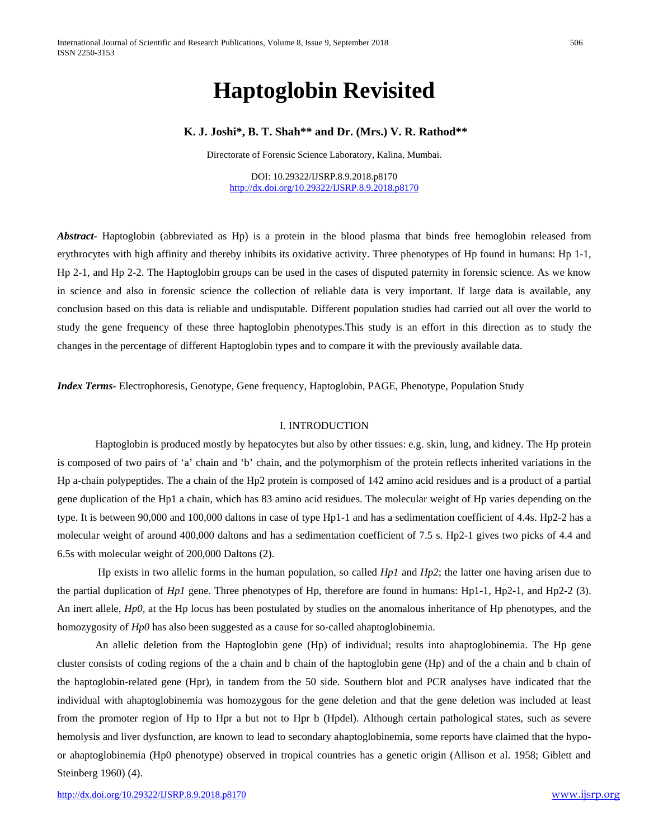# **Haptoglobin Revisited**

# **K. J. Joshi\*, B. T. Shah\*\* and Dr. (Mrs.) V. R. Rathod\*\***

Directorate of Forensic Science Laboratory, Kalina, Mumbai.

DOI: 10.29322/IJSRP.8.9.2018.p8170 <http://dx.doi.org/10.29322/IJSRP.8.9.2018.p8170>

*Abstract-* Haptoglobin (abbreviated as Hp) is a [protein](http://en.wikipedia.org/wiki/Protein) in the [blood plasma](http://en.wikipedia.org/wiki/Blood_plasma) that binds free [hemoglobin](http://en.wikipedia.org/wiki/Hemoglobin) released from [erythrocytes](http://en.wikipedia.org/wiki/Erythrocytes) with high [affinity](http://en.wikipedia.org/wiki/Affinity) and thereby inhibits its [oxidative](http://en.wikipedia.org/wiki/Oxidative) activity. Three phenotypes of Hp found in humans: Hp 1-1, Hp 2-1, and Hp 2-2. The Haptoglobin groups can be used in the cases of disputed paternity in forensic science. As we know in science and also in forensic science the collection of reliable data is very important. If large data is available, any conclusion based on this data is reliable and undisputable. Different population studies had carried out all over the world to study the gene frequency of these three haptoglobin phenotypes.This study is an effort in this direction as to study the changes in the percentage of different Haptoglobin types and to compare it with the previously available data.

*Index Terms-* Electrophoresis, Genotype, Gene frequency, Haptoglobin, PAGE, Phenotype, Population Study

#### I. INTRODUCTION

Haptoglobin is produced mostly by [hepatocytes](http://en.wikipedia.org/wiki/Hepatocytes) but also by other tissues: e.g[. skin,](http://en.wikipedia.org/wiki/Skin) [lung,](http://en.wikipedia.org/wiki/Lung) and [kidney.](http://en.wikipedia.org/wiki/Kidney) The Hp protein is composed of two pairs of 'a' chain and 'b' chain, and the polymorphism of the protein reflects inherited variations in the Hp a-chain polypeptides. The a chain of the Hp2 protein is composed of 142 amino acid residues and is a product of a partial gene duplication of the Hp1 a chain, which has 83 amino acid residues. The molecular weight of Hp varies depending on the type. It is between 90,000 and 100,000 daltons in case of type Hp1-1 and has a sedimentation coefficient of 4.4s. Hp2-2 has a molecular weight of around 400,000 daltons and has a sedimentation coefficient of 7.5 s. Hp2-1 gives two picks of 4.4 and 6.5s with molecular weight of 200,000 Daltons (2).

Hp exists in two [allelic forms](http://en.wikipedia.org/w/index.php?title=Allelic_forms&action=edit&redlink=1) in the human population, so called *Hp1* and *Hp2*; the latter one having arisen due to the partial duplication of *Hp1* gene. Three phenotypes of Hp, therefore are found in humans: Hp1-1, Hp2-1, and Hp2-2 (3). An inert allele, *Hp0,* at the Hp locus has been postulated by studies on the anomalous inheritance of Hp phenotypes, and the homozygosity of *Hp0* has also been suggested as a cause for so-called ahaptoglobinemia.

An allelic deletion from the Haptoglobin gene (Hp) of individual; results into ahaptoglobinemia. The Hp gene cluster consists of coding regions of the a chain and b chain of the haptoglobin gene (Hp) and of the a chain and b chain of the haptoglobin-related gene (Hpr), in tandem from the 50 side. Southern blot and PCR analyses have indicated that the individual with ahaptoglobinemia was homozygous for the gene deletion and that the gene deletion was included at least from the promoter region of Hp to Hpr a but not to Hpr b (Hpdel). Although certain pathological states, such as severe hemolysis and liver dysfunction, are known to lead to secondary ahaptoglobinemia, some reports have claimed that the hypoor ahaptoglobinemia (Hp0 phenotype) observed in tropical countries has a genetic origin (Allison et al. 1958; Giblett and Steinberg 1960) (4).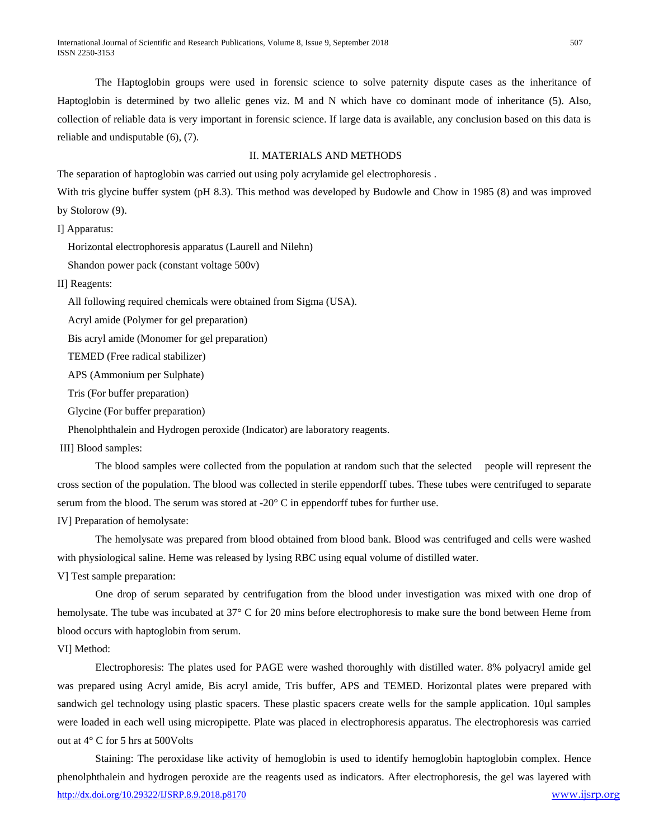The Haptoglobin groups were used in forensic science to solve paternity dispute cases as the inheritance of Haptoglobin is determined by two allelic genes viz. M and N which have co dominant mode of inheritance (5). Also, collection of reliable data is very important in forensic science. If large data is available, any conclusion based on this data is reliable and undisputable (6), (7).

#### II. MATERIALS AND METHODS

The separation of haptoglobin was carried out using poly acrylamide gel electrophoresis .

With tris glycine buffer system (pH 8.3). This method was developed by Budowle and Chow in 1985 (8) and was improved by Stolorow (9).

I] Apparatus:

Horizontal electrophoresis apparatus (Laurell and Nilehn)

Shandon power pack (constant voltage 500v)

II] Reagents:

All following required chemicals were obtained from Sigma (USA).

Acryl amide (Polymer for gel preparation)

Bis acryl amide (Monomer for gel preparation)

TEMED (Free radical stabilizer)

APS (Ammonium per Sulphate)

Tris (For buffer preparation)

Glycine (For buffer preparation)

Phenolphthalein and Hydrogen peroxide (Indicator) are laboratory reagents.

III] Blood samples:

The blood samples were collected from the population at random such that the selected people will represent the cross section of the population. The blood was collected in sterile eppendorff tubes. These tubes were centrifuged to separate serum from the blood. The serum was stored at  $-20^{\circ}$  C in eppendorff tubes for further use.

IV] Preparation of hemolysate:

The hemolysate was prepared from blood obtained from blood bank. Blood was centrifuged and cells were washed with physiological saline. Heme was released by lysing RBC using equal volume of distilled water.

V] Test sample preparation:

One drop of serum separated by centrifugation from the blood under investigation was mixed with one drop of hemolysate. The tube was incubated at 37° C for 20 mins before electrophoresis to make sure the bond between Heme from blood occurs with haptoglobin from serum.

VI] Method:

Electrophoresis: The plates used for PAGE were washed thoroughly with distilled water. 8% polyacryl amide gel was prepared using Acryl amide, Bis acryl amide, Tris buffer, APS and TEMED. Horizontal plates were prepared with sandwich gel technology using plastic spacers. These plastic spacers create wells for the sample application. 10µl samples were loaded in each well using micropipette. Plate was placed in electrophoresis apparatus. The electrophoresis was carried out at 4° C for 5 hrs at 500Volts

<http://dx.doi.org/10.29322/IJSRP.8.9.2018.p8170> [www.ijsrp.org](http://ijsrp.org/) Staining: The peroxidase like activity of hemoglobin is used to identify hemoglobin haptoglobin complex. Hence phenolphthalein and hydrogen peroxide are the reagents used as indicators. After electrophoresis, the gel was layered with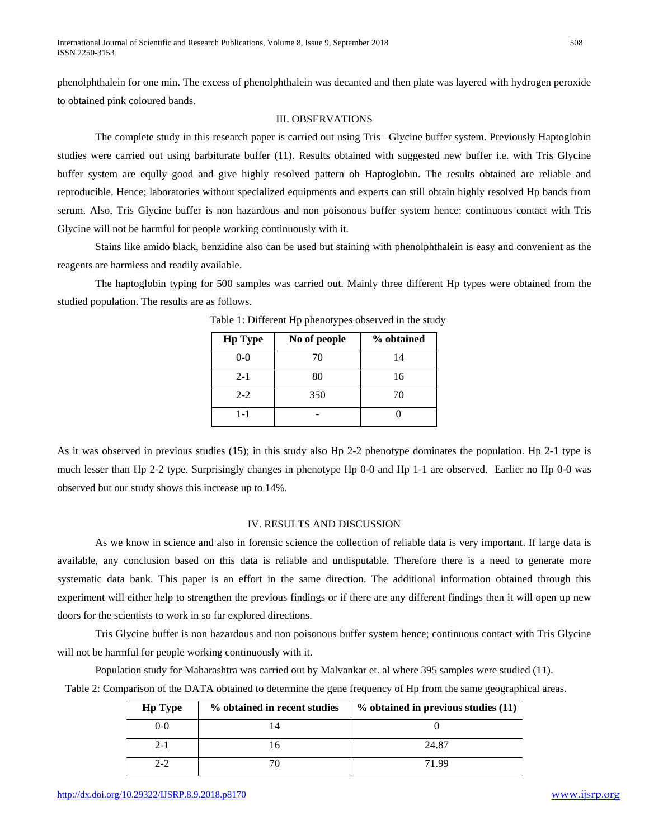phenolphthalein for one min. The excess of phenolphthalein was decanted and then plate was layered with hydrogen peroxide to obtained pink coloured bands.

### III. OBSERVATIONS

The complete study in this research paper is carried out using Tris –Glycine buffer system. Previously Haptoglobin studies were carried out using barbiturate buffer (11). Results obtained with suggested new buffer i.e. with Tris Glycine buffer system are eqully good and give highly resolved pattern oh Haptoglobin. The results obtained are reliable and reproducible. Hence; laboratories without specialized equipments and experts can still obtain highly resolved Hp bands from serum. Also, Tris Glycine buffer is non hazardous and non poisonous buffer system hence; continuous contact with Tris Glycine will not be harmful for people working continuously with it.

Stains like amido black, benzidine also can be used but staining with phenolphthalein is easy and convenient as the reagents are harmless and readily available.

The haptoglobin typing for 500 samples was carried out. Mainly three different Hp types were obtained from the studied population. The results are as follows.

| <b>Hp Type</b> | No of people | % obtained |
|----------------|--------------|------------|
| $0 - 0$        | 70           | 14         |
| $2 - 1$        | 80           | 16         |
| $2 - 2$        | 350          | 70         |
| 1-1            |              |            |

Table 1: Different Hp phenotypes observed in the study

As it was observed in previous studies (15); in this study also Hp 2-2 phenotype dominates the population. Hp 2-1 type is much lesser than Hp 2-2 type. Surprisingly changes in phenotype Hp 0-0 and Hp 1-1 are observed. Earlier no Hp 0-0 was observed but our study shows this increase up to 14%.

# IV. RESULTS AND DISCUSSION

As we know in science and also in forensic science the collection of reliable data is very important. If large data is available, any conclusion based on this data is reliable and undisputable. Therefore there is a need to generate more systematic data bank. This paper is an effort in the same direction. The additional information obtained through this experiment will either help to strengthen the previous findings or if there are any different findings then it will open up new doors for the scientists to work in so far explored directions.

Tris Glycine buffer is non hazardous and non poisonous buffer system hence; continuous contact with Tris Glycine will not be harmful for people working continuously with it.

Population study for Maharashtra was carried out by Malvankar et. al where 395 samples were studied (11). Table 2: Comparison of the DATA obtained to determine the gene frequency of Hp from the same geographical areas.

| <b>Hp Type</b> | % obtained in recent studies | % obtained in previous studies (11) |
|----------------|------------------------------|-------------------------------------|
| $0 - 0$        | 14                           |                                     |
| $2 - 1$        | 16                           | 24.87                               |
| $2 - 2$        |                              | 71.99                               |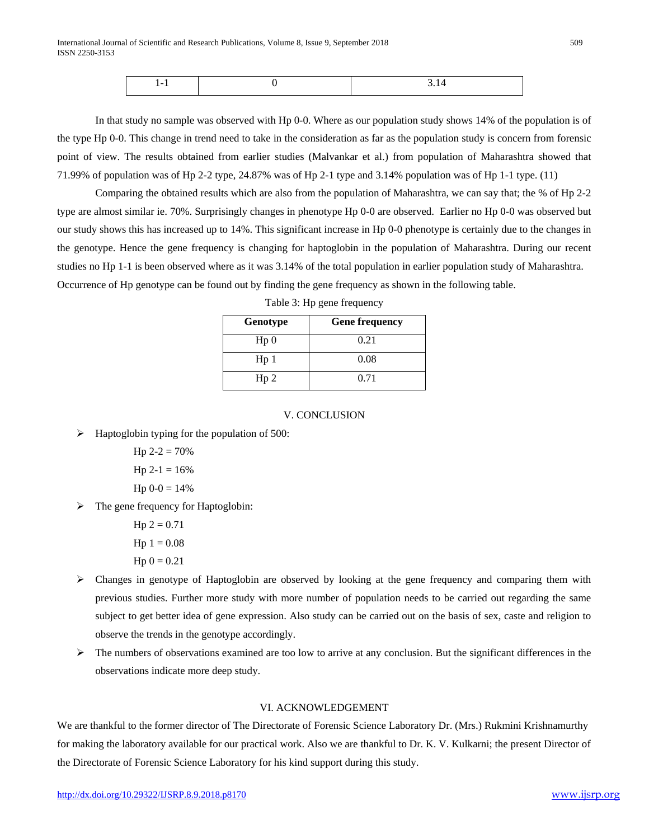| - |  |
|---|--|
|   |  |

In that study no sample was observed with Hp 0-0. Where as our population study shows 14% of the population is of the type Hp 0-0. This change in trend need to take in the consideration as far as the population study is concern from forensic point of view. The results obtained from earlier studies (Malvankar et al.) from population of Maharashtra showed that 71.99% of population was of Hp 2-2 type, 24.87% was of Hp 2-1 type and 3.14% population was of Hp 1-1 type. (11)

Comparing the obtained results which are also from the population of Maharashtra, we can say that; the % of Hp 2-2 type are almost similar ie. 70%. Surprisingly changes in phenotype Hp 0-0 are observed. Earlier no Hp 0-0 was observed but our study shows this has increased up to 14%. This significant increase in Hp 0-0 phenotype is certainly due to the changes in the genotype. Hence the gene frequency is changing for haptoglobin in the population of Maharashtra. During our recent studies no Hp 1-1 is been observed where as it was 3.14% of the total population in earlier population study of Maharashtra. Occurrence of Hp genotype can be found out by finding the gene frequency as shown in the following table.

| Genotype        | <b>Gene frequency</b> |
|-----------------|-----------------------|
| Hp <sub>0</sub> | 0.21                  |
| Hp <sub>1</sub> | 0.08                  |
| Hp <sub>2</sub> | 0.71                  |

Table 3: Hp gene frequency

## V. CONCLUSION

 $\triangleright$  Haptoglobin typing for the population of 500:

Hp  $2-2 = 70%$ 

Hp  $2-1 = 16\%$  $H_0^0$  0-0 = 14%

$$
Hp 0-0 = 14\%
$$

The gene frequency for Haptoglobin:

 $Hp 2 = 0.71$  $Hp 1 = 0.08$  $Hp 0 = 0.21$ 

- $\triangleright$  Changes in genotype of Haptoglobin are observed by looking at the gene frequency and comparing them with previous studies. Further more study with more number of population needs to be carried out regarding the same subject to get better idea of gene expression. Also study can be carried out on the basis of sex, caste and religion to observe the trends in the genotype accordingly.
- $\triangleright$  The numbers of observations examined are too low to arrive at any conclusion. But the significant differences in the observations indicate more deep study.

## VI. ACKNOWLEDGEMENT

We are thankful to the former director of The Directorate of Forensic Science Laboratory Dr. (Mrs.) Rukmini Krishnamurthy for making the laboratory available for our practical work. Also we are thankful to Dr. K. V. Kulkarni; the present Director of the Directorate of Forensic Science Laboratory for his kind support during this study.